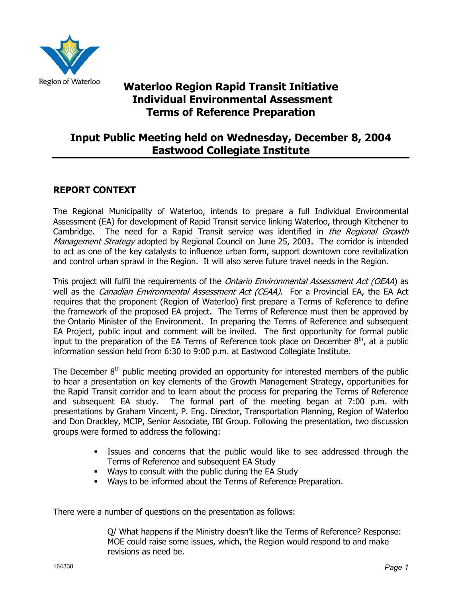

# **Waterloo Region Rapid Transit Initiative Individual Environmental Assessment Terms of Reference Preparation**

## **Input Public Meeting held on Wednesday, December 8, 2004 Eastwood Collegiate Institute**

## **REPORT CONTEXT**

The Regional Municipality of Waterloo, intends to prepare a full Individual Environmental Assessment (EA) for development of Rapid Transit service linking Waterloo, through Kitchener to Cambridge. The need for a Rapid Transit service was identified in *the Regional Growth* Management Strategy adopted by Regional Council on June 25, 2003. The corridor is intended to act as one of the key catalysts to influence urban form, support downtown core revitalization and control urban sprawl in the Region. It will also serve future travel needs in the Region.

This project will fulfil the requirements of the Ontario Environmental Assessment Act (OEAA) as well as the *Canadian Environmental Assessment Act (CEAA)*. For a Provincial EA, the EA Act requires that the proponent (Region of Waterloo) first prepare a Terms of Reference to define the framework of the proposed EA project. The Terms of Reference must then be approved by the Ontario Minister of the Environment. In preparing the Terms of Reference and subsequent EA Project, public input and comment will be invited. The first opportunity for formal public input to the preparation of the EA Terms of Reference took place on December  $8<sup>th</sup>$ , at a public information session held from 6:30 to 9:00 p.m. at Eastwood Collegiate Institute.

The December  $8<sup>th</sup>$  public meeting provided an opportunity for interested members of the public to hear a presentation on key elements of the Growth Management Strategy, opportunities for the Rapid Transit corridor and to learn about the process for preparing the Terms of Reference and subsequent EA study. The formal part of the meeting began at 7:00 p.m. with presentations by Graham Vincent, P. Eng. Director, Transportation Planning, Region of Waterloo and Don Drackley, MCIP, Senior Associate, IBI Group. Following the presentation, two discussion groups were formed to address the following:

- Issues and concerns that the public would like to see addressed through the Terms of Reference and subsequent EA Study
- Ways to consult with the public during the EA Study
- **Ways to be informed about the Terms of Reference Preparation.**

There were a number of questions on the presentation as follows:

Q/ What happens if the Ministry doesn't like the Terms of Reference? Response: MOE could raise some issues, which, the Region would respond to and make revisions as need be.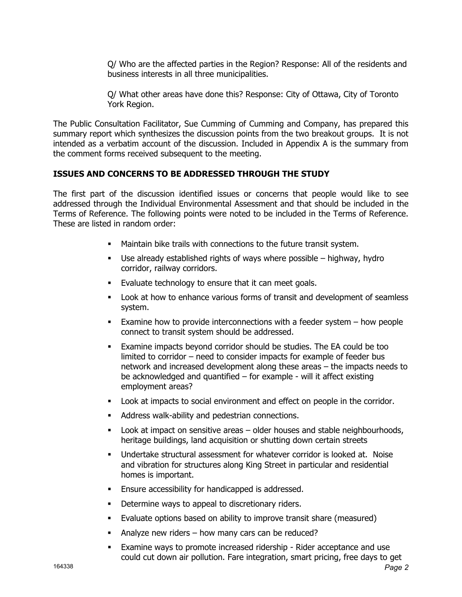Q/ Who are the affected parties in the Region? Response: All of the residents and business interests in all three municipalities.

Q/ What other areas have done this? Response: City of Ottawa, City of Toronto York Region.

The Public Consultation Facilitator, Sue Cumming of Cumming and Company, has prepared this summary report which synthesizes the discussion points from the two breakout groups. It is not intended as a verbatim account of the discussion. Included in Appendix A is the summary from the comment forms received subsequent to the meeting.

## **ISSUES AND CONCERNS TO BE ADDRESSED THROUGH THE STUDY**

The first part of the discussion identified issues or concerns that people would like to see addressed through the Individual Environmental Assessment and that should be included in the Terms of Reference. The following points were noted to be included in the Terms of Reference. These are listed in random order:

- Maintain bike trails with connections to the future transit system.
- Use already established rights of ways where possible highway, hydro corridor, railway corridors.
- **Evaluate technology to ensure that it can meet goals.**
- Look at how to enhance various forms of transit and development of seamless system.
- Examine how to provide interconnections with a feeder system how people connect to transit system should be addressed.
- Examine impacts beyond corridor should be studies. The EA could be too limited to corridor – need to consider impacts for example of feeder bus network and increased development along these areas – the impacts needs to be acknowledged and quantified – for example - will it affect existing employment areas?
- Look at impacts to social environment and effect on people in the corridor.
- Address walk-ability and pedestrian connections.
- Look at impact on sensitive areas older houses and stable neighbourhoods, heritage buildings, land acquisition or shutting down certain streets
- Undertake structural assessment for whatever corridor is looked at. Noise and vibration for structures along King Street in particular and residential homes is important.
- **Ensure accessibility for handicapped is addressed.**
- Determine ways to appeal to discretionary riders.
- Evaluate options based on ability to improve transit share (measured)
- Analyze new riders how many cars can be reduced?
- Examine ways to promote increased ridership Rider acceptance and use could cut down air pollution. Fare integration, smart pricing, free days to get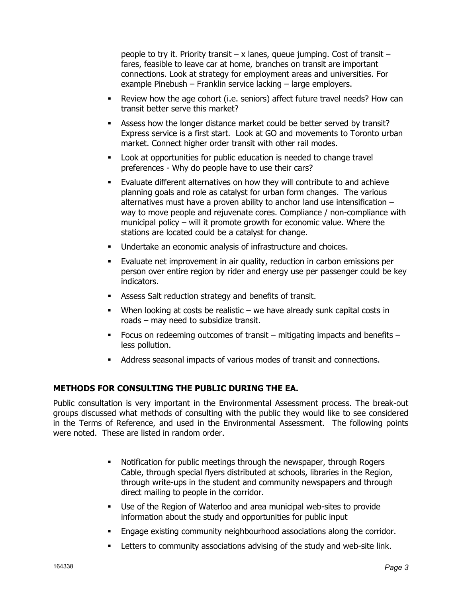people to try it. Priority transit – x lanes, queue jumping. Cost of transit – fares, feasible to leave car at home, branches on transit are important connections. Look at strategy for employment areas and universities. For example Pinebush – Franklin service lacking – large employers.

- Review how the age cohort (i.e. seniors) affect future travel needs? How can transit better serve this market?
- Assess how the longer distance market could be better served by transit? Express service is a first start. Look at GO and movements to Toronto urban market. Connect higher order transit with other rail modes.
- Look at opportunities for public education is needed to change travel preferences - Why do people have to use their cars?
- Evaluate different alternatives on how they will contribute to and achieve planning goals and role as catalyst for urban form changes. The various alternatives must have a proven ability to anchor land use intensification – way to move people and rejuvenate cores. Compliance / non-compliance with municipal policy – will it promote growth for economic value. Where the stations are located could be a catalyst for change.
- Undertake an economic analysis of infrastructure and choices.
- Evaluate net improvement in air quality, reduction in carbon emissions per person over entire region by rider and energy use per passenger could be key indicators.
- Assess Salt reduction strategy and benefits of transit.
- When looking at costs be realistic  $-$  we have already sunk capital costs in roads – may need to subsidize transit.
- Focus on redeeming outcomes of transit mitigating impacts and benefits less pollution.
- Address seasonal impacts of various modes of transit and connections.

### **METHODS FOR CONSULTING THE PUBLIC DURING THE EA.**

Public consultation is very important in the Environmental Assessment process. The break-out groups discussed what methods of consulting with the public they would like to see considered in the Terms of Reference, and used in the Environmental Assessment. The following points were noted. These are listed in random order.

- Notification for public meetings through the newspaper, through Rogers Cable, through special flyers distributed at schools, libraries in the Region, through write-ups in the student and community newspapers and through direct mailing to people in the corridor.
- Use of the Region of Waterloo and area municipal web-sites to provide information about the study and opportunities for public input
- Engage existing community neighbourhood associations along the corridor.
- **EXECTERF** to community associations advising of the study and web-site link.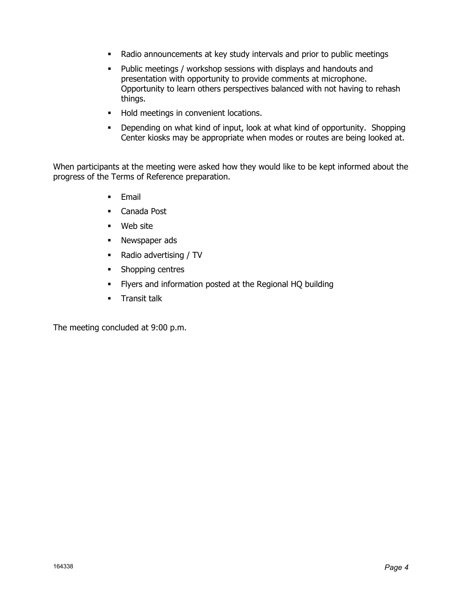- Radio announcements at key study intervals and prior to public meetings
- Public meetings / workshop sessions with displays and handouts and presentation with opportunity to provide comments at microphone. Opportunity to learn others perspectives balanced with not having to rehash things.
- **Hold meetings in convenient locations.**
- **-** Depending on what kind of input, look at what kind of opportunity. Shopping Center kiosks may be appropriate when modes or routes are being looked at.

When participants at the meeting were asked how they would like to be kept informed about the progress of the Terms of Reference preparation.

- **Email**
- Canada Post
- Web site
- **Newspaper ads**
- Radio advertising / TV
- Shopping centres
- Flyers and information posted at the Regional HQ building
- **Transit talk**

The meeting concluded at 9:00 p.m.